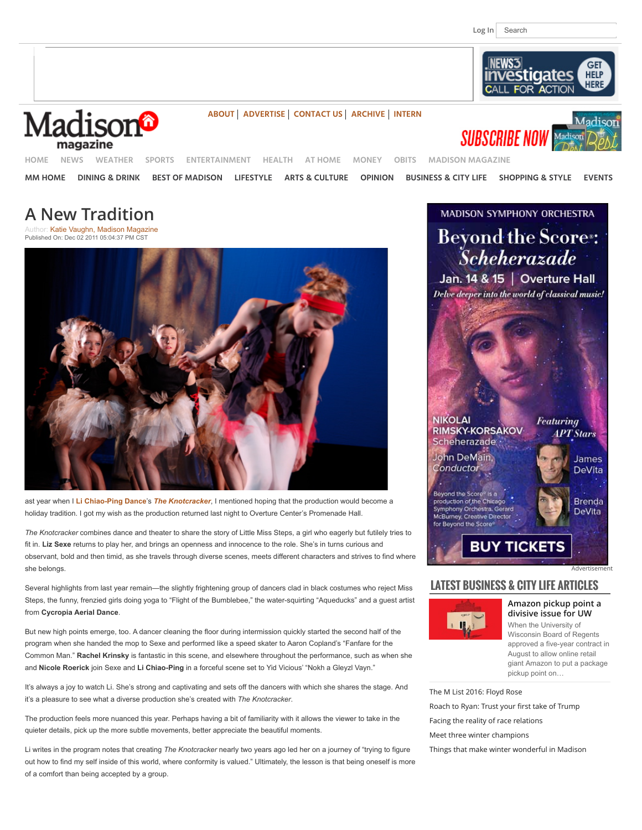

Madisor



**[ABOUT](http://www.channel3000.com/madison-magazine/about-us/30198244) [ADVERTISE](http://www.channel3000.com/madison-magazine/advertise/30203518) [CONTACT US](http://www.channel3000.com/madison-magazine/contact-us/30199444) [ARCHIVE](http://www.channel3000.com/madison-magazine/archive/30240110) [INTERN](http://www.channel3000.com/madison-magazine/internship-opportunities/30199220)**

**SUBSCRIBE NOW [HOME](http://www.channel3000.com/) [NEWS](http://www.channel3000.com/news) [WEATHER](http://www.channel3000.com/weather) [SPORTS](http://www.channel3000.com/sports) [ENTERTAINMENT](http://www.channel3000.com/entertainment) [HEALTH](http://www.channel3000.com/health) [AT HOME](http://www.channel3000.com/at-home) [MONEY](http://www.channel3000.com/money) [OBITS](http://www.channel3000.com/obituaries) [MADISON MAGAZINE](http://www.channel3000.com/madison-magazine)**

**[MM HOME](http://www.channel3000.com/madison-magazine) [DINING & DRINK](http://www.channel3000.com/madison-magazine/dining-drink) [BEST OF MADISON](http://www.channel3000.com/madison-magazine/best-of-madison) [LIFESTYLE](http://www.channel3000.com/madison-magazine/home-lifestyle) [ARTS & CULTURE](http://www.channel3000.com/madison-magazine/arts-culture) [OPINION](http://www.channel3000.com/madison-magazine/opinions/37396364) [BUSINESS & CITY LIFE](http://www.channel3000.com/madison-magazine/business-city-life) [SHOPPING & STYLE](http://www.channel3000.com/madison-magazine/shopping-style) [EVENTS](http://www.channel3000.com/madison-magazine/events)**

# **A New Tradition**

Author: [Katie Vaughn, Madison Magazine](http://www.channel3000.com/madison-magazine/arts-culture/29849792) Published On: Dec 02 2011 05:04:37 PM CST



ast year when I **[Li Chiao-Ping Dance](http://www.lichiaopingdance.org/)**'s *[The Knotcracker](http://www.overturecenter.com/production/knotcracker)*, I mentioned hoping that the production would become a holiday tradition. I got my wish as the production returned last night to Overture Center's Promenade Hall.

*The Knotcracker* combines dance and theater to share the story of Little Miss Steps, a girl who eagerly but futilely tries to fit in. **Liz Sexe** returns to play her, and brings an openness and innocence to the role. She's in turns curious and observant, bold and then timid, as she travels through diverse scenes, meets different characters and strives to find where she belongs.

Several highlights from last year remain—the slightly frightening group of dancers clad in black costumes who reject Miss Steps, the funny, frenzied girls doing yoga to "Flight of the Bumblebee," the water-squirting "Aqueducks" and a guest artist from **Cycropia Aerial Dance**.

But new high points emerge, too. A dancer cleaning the floor during intermission quickly started the second half of the program when she handed the mop to Sexe and performed like a speed skater to Aaron Copland's "Fanfare for the Common Man." **Rachel Krinsky** is fantastic in this scene, and elsewhere throughout the performance, such as when she and **Nicole Roerick** join Sexe and **Li Chiao-Ping** in a forceful scene set to Yid Vicious' "Nokh a Gleyzl Vayn."

It's always a joy to watch Li. She's strong and captivating and sets off the dancers with which she shares the stage. And it's a pleasure to see what a diverse production she's created with *The Knotcracker*.

The production feels more nuanced this year. Perhaps having a bit of familiarity with it allows the viewer to take in the quieter details, pick up the more subtle movements, better appreciate the beautiful moments.

Li writes in the program notes that creating *The Knotcracker* nearly two years ago led her on a journey of "trying to figure out how to find my self inside of this world, where conformity is valued." Ultimately, the lesson is that being oneself is more of a comfort than being accepted by a group.



## **LATEST BUSINESS & CITY LIFE ARTICLES**



**[Amazon pickup point a](http://www.channel3000.com/madison-magazine/business-city-life/Amazon-pickup-point-a-divisive-issue-for-UW/42488220) divisive issue for UW** When the University of Wisconsin Board of Regents approved a five-year contract in August to allow online retail giant Amazon to put a package pickup point on…

[The M List 2016: Floyd Rose](http://www.channel3000.com/madison-magazine/business-city-life/community-spirit-100-black-men/42171314) [Roach to Ryan: Trust your](http://www.channel3000.com/madison-magazine/business-city-life/dear-paul-ryan/42687380) first take of Trump [Facing the reality of race relations](http://www.channel3000.com/madison-magazine/business-city-life/Facing-the-reality-of-race-relations/42488414) [Meet three winter champions](http://www.channel3000.com/madison-magazine/business-city-life/winter-champions/42507356)

[Things that make winter wonderful in Madison](http://www.channel3000.com/madison-magazine/business-city-life/no-wonders-here-about-winter-wonderland/42507254)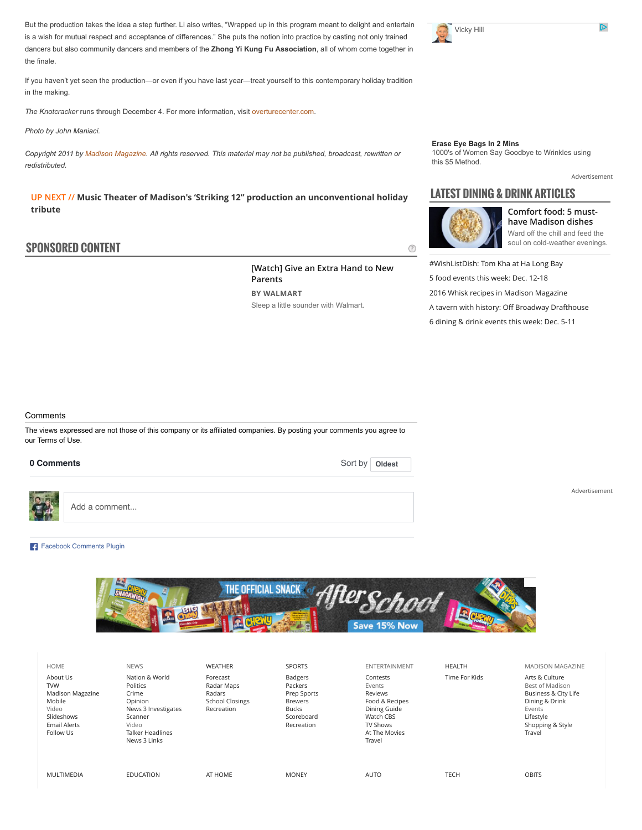But the production takes the idea a step further. Li also writes, "Wrapped up in this program meant to delight and entertain is a wish for mutual respect and acceptance of differences." She puts the notion into practice by casting not only trained dancers but also community dancers and members of the **Zhong Yi Kung Fu Association**, all of whom come together in the finale.

If you haven't yet seen the production—or even if you have last year—treat yourself to this contemporary holiday tradition in the making.

*The Knotcracker* runs through December 4. For more information, visit [overturecenter.com.](http://www.overturecenter.com/)

*Photo by John Maniaci.*

*Copyright 2011 by [Madison Magazine.](mailto:c3knews@channel3000.com) All rights reserved. This material may not be published, broadcast, rewritten or redistributed.*

**UP NEXT // [Music Theater of Madison's 'Striking 12" production an unconventional holiday](http://www.channel3000.com/madison-magazine/arts-culture/music-theater-of-madisons-striking-12-production-an-unconventional-holiday-tribute/42740332) tribute**

### **SPONSORED CONTENT**

**[Watch] Give an Extra Hand to New Parents BY WALMART** Sleep a little sounder with Walmart.



**[Erase Eye Bags In 2 Mins](https://www.youtube.com/pyv_redirect?ai=CTSL8hzlQWMSQNsmOpgPt55rQDqaq6oJF4pXM_5gDsZAfEAEg9_buAmDJ1tmN_KT4FKABjpbYxQPIAQHgAgCoAwHIA5sEqgT1AU_QqFrtlOZikDRFveNZX0bMd4CTW6TEpaMw-hsI28pmiw6Ssvq2U4Qa4pvgjO1uUu7n1wamQtHf6RBxJMUpaWMchk_2h1EyfdOLkM7qZ4Dmxc0D6Mk3GX3oWVuZPaEt_t1vnXRH1ds5PHP4hM-FnolZ4PGUo4IOe3e3vpUBueorELtodpWiKCKHwsm9gMF38hwHB_UbgA5lLa5Ot5psbW4bwB4Hu4KjGlpIUw_ynwCkcqfPuXp9TTMbW--nEA3qF-lZlV8C8prpjhtUrqT5skhrt6LVPJTLHa7g1cq_LhlHSbY7Q0GRr73Lk4VLnzPZljzGuZKt4AQBoAYayAaa8Nj4mAOAB9rppzqoB6a-G9gHAdIIBQiAYRAB&sig=AOD64_1ddkd6oZb5Fm3X0pbF7Y-Je3ztFw&sa=l&num=1&sigh=9PWJfYBJ-Kk&v=uqRRFRTBik8&adurl=http://www.youtube.com/channel/UCk46wswxMLu84EfGxcqbYIA%3Fv%3DuqRRFRTBik8&client=ca-pub-1370230094968773&crid=109774780442&agcid=109789252322&cnvtrk=951454478)**

[1000's of Women Say Goodbye to Wrinkles using](https://www.youtube.com/pyv_redirect?ai=CTSL8hzlQWMSQNsmOpgPt55rQDqaq6oJF4pXM_5gDsZAfEAEg9_buAmDJ1tmN_KT4FKABjpbYxQPIAQHgAgCoAwHIA5sEqgT1AU_QqFrtlOZikDRFveNZX0bMd4CTW6TEpaMw-hsI28pmiw6Ssvq2U4Qa4pvgjO1uUu7n1wamQtHf6RBxJMUpaWMchk_2h1EyfdOLkM7qZ4Dmxc0D6Mk3GX3oWVuZPaEt_t1vnXRH1ds5PHP4hM-FnolZ4PGUo4IOe3e3vpUBueorELtodpWiKCKHwsm9gMF38hwHB_UbgA5lLa5Ot5psbW4bwB4Hu4KjGlpIUw_ynwCkcqfPuXp9TTMbW--nEA3qF-lZlV8C8prpjhtUrqT5skhrt6LVPJTLHa7g1cq_LhlHSbY7Q0GRr73Lk4VLnzPZljzGuZKt4AQBoAYayAaa8Nj4mAOAB9rppzqoB6a-G9gHAdIIBQiAYRAB&sig=AOD64_1ddkd6oZb5Fm3X0pbF7Y-Je3ztFw&sa=l&num=1&sigh=9PWJfYBJ-Kk&v=uqRRFRTBik8&adurl=http://www.youtube.com/channel/UCk46wswxMLu84EfGxcqbYIA%3Fv%3DuqRRFRTBik8&client=ca-pub-1370230094968773&crid=109774780442&agcid=109789252322&cnvtrk=951454478) this \$5 Method.

[Advertisement](http://www.channel3000.com/advertise)

[Advertisement](http://www.channel3000.com/advertise)

# **LATEST DINING & DRINK ARTICLES**



⊚

**[Comfort food: 5 must](http://www.channel3000.com/madison-magazine/business-city-life/ward-off-the-chill-feed-the-soul/42510362)have Madison dishes** Ward off the chill and feed the soul on cold-weather evenings.

[#WishListDish: Tom Kha at Ha Long Bay](http://www.channel3000.com/madison-magazine/dining-drink/wishlistdish-tom-kha-at-ha-long-bay/42740246) [5 food events this week: Dec. 12-18](http://www.channel3000.com/madison-magazine/dining-drink/5-food-events-thi/42767538) [2016 Whisk recipes in Madison Magazine](http://www.channel3000.com/madison-magazine/dining-drink/2016-whisk-recipes-in-madison-magazine/42769352) [A tavern with history: O](http://www.channel3000.com/madison-magazine/dining-drink/A-tavern-with-history-Off-Broadway-Drafthouse/42488726)ff Broadway Drafthouse [6 dining & drink events this week: Dec. 5-11](http://www.channel3000.com/madison-magazine/dining-drink/6-dining-drink-events-this-week-dec-511/42693400)

**Comments** 

The views expressed are not those of this company or its affiliated companies. By posting your comments you agree to our Terms of Use.

#### 0 Comments



Add a comment...

### [Facebook Comments Plugin](https://developers.facebook.com/docs/plugins/comments/)



| <b>HOME</b>                                                                                              | <b>NEWS</b>                                                                                                                          | <b>WEATHER</b>                                                           | <b>SPORTS</b>                                                                                   | ENTERTAINMENT                                                                                                       | <b>HEALTH</b> | <b>MADISON MAGAZINE</b>                                                                                                          |
|----------------------------------------------------------------------------------------------------------|--------------------------------------------------------------------------------------------------------------------------------------|--------------------------------------------------------------------------|-------------------------------------------------------------------------------------------------|---------------------------------------------------------------------------------------------------------------------|---------------|----------------------------------------------------------------------------------------------------------------------------------|
| About Us<br><b>TVW</b><br>Madison Magazine<br>Mobile<br>Video<br>Slideshows<br>Email Alerts<br>Follow Us | Nation & World<br>Politics<br>Crime<br>Opinion<br>News 3 Investigates<br>Scanner<br>Video<br><b>Talker Headlines</b><br>News 3 Links | Forecast<br>Radar Maps<br>Radars<br><b>School Closings</b><br>Recreation | Badgers<br>Packers<br>Prep Sports<br><b>Brewers</b><br><b>Bucks</b><br>Scoreboard<br>Recreation | Contests<br>Events<br>Reviews<br>Food & Recipes<br>Dining Guide<br>Watch CBS<br>TV Shows<br>At The Movies<br>Travel | Time For Kids | Arts & Culture<br>Best of Madison<br>Business & City Life<br>Dining & Drink<br>Events<br>Lifestyle<br>Shopping & Style<br>Travel |
| MULTIMEDIA                                                                                               | <b>EDUCATION</b>                                                                                                                     | AT HOME                                                                  | <b>MONEY</b>                                                                                    | <b>AUTO</b>                                                                                                         | <b>TECH</b>   | <b>OBITS</b>                                                                                                                     |